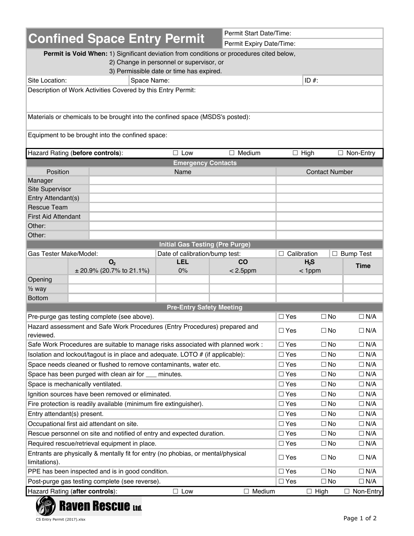|                                                                                                                                                                                  |                                                                          |                    |                                                                          |                  | Permit Start Date/Time:  |                       |             |  |  |  |
|----------------------------------------------------------------------------------------------------------------------------------------------------------------------------------|--------------------------------------------------------------------------|--------------------|--------------------------------------------------------------------------|------------------|--------------------------|-----------------------|-------------|--|--|--|
| <b>Confined Space Entry Permit</b>                                                                                                                                               |                                                                          |                    |                                                                          |                  | Permit Expiry Date/Time: |                       |             |  |  |  |
| Permit is Void When: 1) Significant deviation from conditions or procedures cited below,<br>2) Change in personnel or supervisor, or<br>3) Permissible date or time has expired. |                                                                          |                    |                                                                          |                  |                          |                       |             |  |  |  |
| Site Location:                                                                                                                                                                   | ID $#$ :<br>Space Name:                                                  |                    |                                                                          |                  |                          |                       |             |  |  |  |
|                                                                                                                                                                                  |                                                                          |                    |                                                                          |                  |                          |                       |             |  |  |  |
| Description of Work Activities Covered by this Entry Permit:                                                                                                                     |                                                                          |                    |                                                                          |                  |                          |                       |             |  |  |  |
| Materials or chemicals to be brought into the confined space (MSDS's posted):                                                                                                    |                                                                          |                    |                                                                          |                  |                          |                       |             |  |  |  |
| Equipment to be brought into the confined space:                                                                                                                                 |                                                                          |                    |                                                                          |                  |                          |                       |             |  |  |  |
| Hazard Rating (before controls):                                                                                                                                                 |                                                                          |                    | $\Box$ Low                                                               | $\Box$ Medium    |                          | $\Box$ High           | □ Non-Entry |  |  |  |
|                                                                                                                                                                                  |                                                                          |                    | <b>Emergency Contacts</b>                                                |                  |                          |                       |             |  |  |  |
| Position                                                                                                                                                                         |                                                                          |                    | Name                                                                     |                  |                          | <b>Contact Number</b> |             |  |  |  |
| Manager                                                                                                                                                                          |                                                                          |                    |                                                                          |                  |                          |                       |             |  |  |  |
| <b>Site Supervisor</b>                                                                                                                                                           |                                                                          |                    |                                                                          |                  |                          |                       |             |  |  |  |
| Entry Attendant(s)                                                                                                                                                               |                                                                          |                    |                                                                          |                  |                          |                       |             |  |  |  |
| <b>Rescue Team</b>                                                                                                                                                               |                                                                          |                    |                                                                          |                  |                          |                       |             |  |  |  |
| <b>First Aid Attendant</b>                                                                                                                                                       |                                                                          |                    |                                                                          |                  |                          |                       |             |  |  |  |
| Other:                                                                                                                                                                           |                                                                          |                    |                                                                          |                  |                          |                       |             |  |  |  |
| Other:                                                                                                                                                                           |                                                                          |                    |                                                                          |                  |                          |                       |             |  |  |  |
|                                                                                                                                                                                  |                                                                          |                    | <b>Initial Gas Testing (Pre Purge)</b><br>Date of calibration/bump test: |                  |                          |                       |             |  |  |  |
| Gas Tester Make/Model:                                                                                                                                                           | O <sub>2</sub>                                                           | $\Box$ Calibration | H <sub>2</sub> S                                                         | $\Box$ Bump Test |                          |                       |             |  |  |  |
|                                                                                                                                                                                  | co<br><b>LEL</b><br>$\pm$ 20.9% (20.7% to 21.1%)<br>$0\%$<br>$< 2.5$ ppm |                    |                                                                          |                  |                          |                       | <b>Time</b> |  |  |  |
| Opening                                                                                                                                                                          |                                                                          |                    |                                                                          |                  |                          | $<$ 1ppm              |             |  |  |  |
| $\frac{1}{2}$ way                                                                                                                                                                |                                                                          |                    |                                                                          |                  |                          |                       |             |  |  |  |
| <b>Bottom</b>                                                                                                                                                                    |                                                                          |                    |                                                                          |                  |                          |                       |             |  |  |  |
|                                                                                                                                                                                  |                                                                          |                    | <b>Pre-Entry Safety Meeting</b>                                          |                  |                          |                       |             |  |  |  |
| Pre-purge gas testing complete (see above).                                                                                                                                      |                                                                          |                    |                                                                          |                  | $\Box$ Yes               | $\Box$ No             | $\Box$ N/A  |  |  |  |
| Hazard assessment and Safe Work Procedures (Entry Procedures) prepared and                                                                                                       |                                                                          |                    |                                                                          |                  |                          |                       |             |  |  |  |
| reviewed.                                                                                                                                                                        |                                                                          | $\square$ Yes      | $\square$ No                                                             | $\Box$ N/A       |                          |                       |             |  |  |  |
| Safe Work Procedures are suitable to manage risks associated with planned work :                                                                                                 |                                                                          | $\Box$ Yes         | $\Box$ No                                                                | $\Box$ N/A       |                          |                       |             |  |  |  |
| Isolation and lockout/tagout is in place and adequate. LOTO # (if applicable):                                                                                                   |                                                                          | $\square$ Yes      | $\Box$ No                                                                | $\Box$ N/A       |                          |                       |             |  |  |  |
| Space needs cleaned or flushed to remove contaminants, water etc.                                                                                                                |                                                                          | $\square$ Yes      | $\square$ No                                                             | $\Box$ N/A       |                          |                       |             |  |  |  |
| Space has been purged with clean air for ___                                                                                                                                     |                                                                          | $\square$ Yes      | $\Box$ No                                                                | $\Box$ N/A       |                          |                       |             |  |  |  |
| Space is mechanically ventilated.                                                                                                                                                |                                                                          |                    | minutes.                                                                 |                  | $\square$ Yes            | $\Box$ No             | $\Box$ N/A  |  |  |  |
| Ignition sources have been removed or eliminated.                                                                                                                                |                                                                          | $\square$ Yes      | $\Box$ No                                                                | $\Box$ N/A       |                          |                       |             |  |  |  |
| Fire protection is readily available (minimum fire extinguisher).                                                                                                                |                                                                          | $\square$ Yes      | $\Box$ No                                                                | $\Box$ N/A       |                          |                       |             |  |  |  |
| Entry attendant(s) present.                                                                                                                                                      |                                                                          | $\square$ Yes      | $\square$ No                                                             | $\Box$ N/A       |                          |                       |             |  |  |  |
| Occupational first aid attendant on site.                                                                                                                                        |                                                                          | $\square$ Yes      | $\Box$ No                                                                | $\Box$ N/A       |                          |                       |             |  |  |  |
| Rescue personnel on site and notified of entry and expected duration.                                                                                                            |                                                                          | $\square$ Yes      | $\Box$ No                                                                | $\Box$ N/A       |                          |                       |             |  |  |  |
| Required rescue/retrieval equipment in place.                                                                                                                                    |                                                                          | $\square$ Yes      | $\Box$ No                                                                | $\Box$ N/A       |                          |                       |             |  |  |  |
|                                                                                                                                                                                  |                                                                          |                    |                                                                          |                  |                          |                       |             |  |  |  |
| Entrants are physically & mentally fit for entry (no phobias, or mental/physical<br>$\square$ Yes<br>$\Box$ No<br>limitations).                                                  |                                                                          |                    |                                                                          |                  |                          |                       |             |  |  |  |
| PPE has been inspected and is in good condition.                                                                                                                                 |                                                                          | $\square$ Yes      | $\square$ No                                                             | $\Box$ N/A       |                          |                       |             |  |  |  |
| Post-purge gas testing complete (see reverse).                                                                                                                                   |                                                                          | $\square$ Yes      | $\square$ No                                                             | $\Box$ N/A       |                          |                       |             |  |  |  |
| Hazard Rating (after controls):                                                                                                                                                  |                                                                          | $\Box$ Medium      | $\Box$ High                                                              | $\Box$ Non-Entry |                          |                       |             |  |  |  |